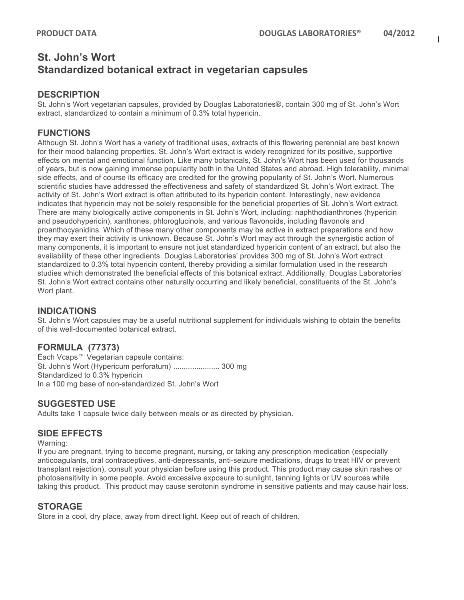1

# **St. John's Wort Standardized botanical extract in vegetarian capsules**

#### **DESCRIPTION**

St. John's Wort vegetarian capsules, provided by Douglas Laboratories®, contain 300 mg of St. John's Wort extract, standardized to contain a minimum of 0.3% total hypericin.

## **FUNCTIONS**

Although St. John's Wort has a variety of traditional uses, extracts of this flowering perennial are best known for their mood balancing properties. St. John's Wort extract is widely recognized for its positive, supportive effects on mental and emotional function. Like many botanicals, St. John's Wort has been used for thousands of years, but is now gaining immense popularity both in the United States and abroad. High tolerability, minimal side effects, and of course its efficacy are credited for the growing popularity of St. John's Wort. Numerous scientific studies have addressed the effectiveness and safety of standardized St. John's Wort extract. The activity of St. John's Wort extract is often attributed to its hypericin content. Interestingly, new evidence indicates that hypericin may not be solely responsible for the beneficial properties of St. John's Wort extract. There are many biologically active components in St. John's Wort, including: naphthodianthrones (hypericin and pseudohypericin), xanthones, phloroglucinols, and various flavonoids, including flavonols and proanthocyanidins. Which of these many other components may be active in extract preparations and how they may exert their activity is unknown. Because St. John's Wort may act through the synergistic action of many components, it is important to ensure not just standardized hypericin content of an extract, but also the availability of these other ingredients. Douglas Laboratories' provides 300 mg of St. John's Wort extract standardized to 0.3% total hypericin content, thereby providing a similar formulation used in the research studies which demonstrated the beneficial effects of this botanical extract. Additionally, Douglas Laboratories' St. John's Wort extract contains other naturally occurring and likely beneficial, constituents of the St. John's Wort plant.

#### **INDICATIONS**

St. John's Wort capsules may be a useful nutritional supplement for individuals wishing to obtain the benefits of this well-documented botanical extract.

## **FORMULA (77373)**

Each Vcaps<sup>™</sup> Vegetarian capsule contains: St. John's Wort (Hypericum perforatum) ...................... 300 mg Standardized to 0.3% hypericin In a 100 mg base of non-standardized St. John's Wort

## **SUGGESTED USE**

Adults take 1 capsule twice daily between meals or as directed by physician.

## **SIDE EFFECTS**

Warning:

If you are pregnant, trying to become pregnant, nursing, or taking any prescription medication (especially anticoagulants, oral contraceptives, anti-depressants, anti-seizure medications, drugs to treat HIV or prevent transplant rejection), consult your physician before using this product. This product may cause skin rashes or photosensitivity in some people. Avoid excessive exposure to sunlight, tanning lights or UV sources while taking this product. This product may cause serotonin syndrome in sensitive patients and may cause hair loss.

## **STORAGE**

Store in a cool, dry place, away from direct light. Keep out of reach of children.